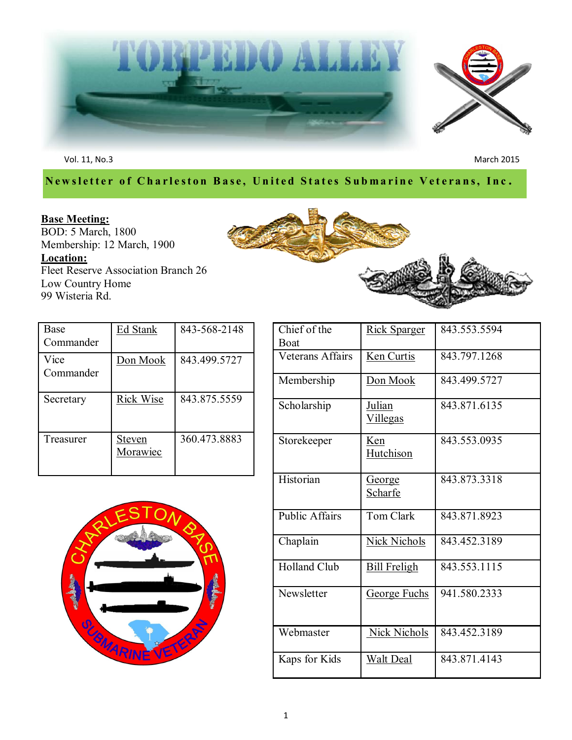

Vol. 11, No.3 March 2015

## **Newsletter of Charleston Base, United States Submarine Veterans, Inc.**

# **Base Meeting:**





| Base<br>Commander | Ed Stank           | 843-568-2148 |
|-------------------|--------------------|--------------|
| Vice<br>Commander | Don Mook           | 843.499.5727 |
| Secretary         | Rick Wise          | 843.875.5559 |
| Treasurer         | Steven<br>Morawiec | 360.473.8883 |



| Chief of the<br>Boat  | <b>Rick Sparger</b>       | 843.553.5594 |
|-----------------------|---------------------------|--------------|
| Veterans Affairs      | <b>Ken Curtis</b>         | 843.797.1268 |
| Membership            | Don Mook                  | 843.499.5727 |
| Scholarship           | Julian<br><b>Villegas</b> | 843.871.6135 |
| Storekeeper           | Ken<br><b>Hutchison</b>   | 843.553.0935 |
| Historian             | <u>George</u><br>Scharfe  | 843.873.3318 |
| <b>Public Affairs</b> | <b>Tom Clark</b>          | 843.871.8923 |
| Chaplain              | Nick Nichols              | 843.452.3189 |
| <b>Holland Club</b>   | <b>Bill Freligh</b>       | 843.553.1115 |
| Newsletter            | <u>George Fuchs</u>       | 941.580.2333 |
| Webmaster             | <b>Nick Nichols</b>       | 843.452.3189 |
| Kaps for Kids         | <u>Walt Deal</u>          | 843.871.4143 |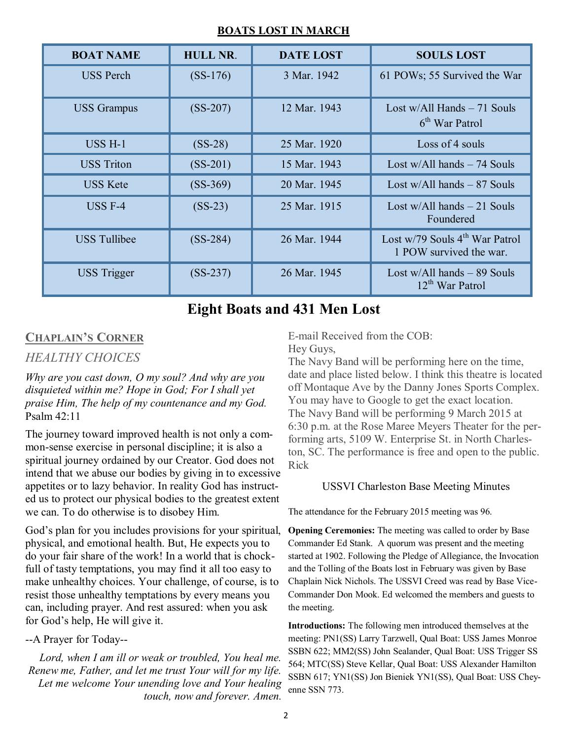#### **BOATS LOST IN MARCH**

| <b>BOAT NAME</b>    | <b>HULL NR.</b> | <b>DATE LOST</b> | <b>SOULS LOST</b>                                                       |
|---------------------|-----------------|------------------|-------------------------------------------------------------------------|
| <b>USS Perch</b>    | $(SS-176)$      | 3 Mar. 1942      | 61 POWs; 55 Survived the War                                            |
| <b>USS</b> Grampus  | $(SS-207)$      | 12 Mar. 1943     | Lost w/All Hands $-71$ Souls<br>6 <sup>th</sup> War Patrol              |
| $USS H-1$           | $(SS-28)$       | 25 Mar. 1920     | Loss of 4 souls                                                         |
| <b>USS</b> Triton   | $(SS-201)$      | 15 Mar. 1943     | Lost $w/All$ hands $-74$ Souls                                          |
| <b>USS Kete</b>     | $(SS-369)$      | 20 Mar. 1945     | Lost $w/All$ hands $-87$ Souls                                          |
| $USS F-4$           | $(SS-23)$       | 25 Mar. 1915     | Lost $w/All$ hands $-21$ Souls<br>Foundered                             |
| <b>USS Tullibee</b> | $(SS-284)$      | 26 Mar. 1944     | Lost $w/79$ Souls 4 <sup>th</sup> War Patrol<br>1 POW survived the war. |
| <b>USS</b> Trigger  | $(SS-237)$      | 26 Mar. 1945     | Lost $w/All$ hands $-89$ Souls<br>12 <sup>th</sup> War Patrol           |

# **Eight Boats and 431 Men Lost**

## **CHAPLAIN'S CORNER**

### *HEALTHY CHOICES*

*Why are you cast down, O my soul? And why are you disquieted within me? Hope in God; For I shall yet praise Him, The help of my countenance and my God.*  Psalm 42:11

The journey toward improved health is not only a common-sense exercise in personal discipline; it is also a spiritual journey ordained by our Creator. God does not intend that we abuse our bodies by giving in to excessive appetites or to lazy behavior. In reality God has instructed us to protect our physical bodies to the greatest extent we can. To do otherwise is to disobey Him.

God's plan for you includes provisions for your spiritual, physical, and emotional health. But, He expects you to do your fair share of the work! In a world that is chockfull of tasty temptations, you may find it all too easy to make unhealthy choices. Your challenge, of course, is to resist those unhealthy temptations by every means you can, including prayer. And rest assured: when you ask for God's help, He will give it.

### --A Prayer for Today--

Lord, when I am ill or weak or troubled, You heal me. *Renew me, Father, and let me trust Your will for my life. Let me welcome Your unending love and Your healing touch, now and forever. Amen.*

E-mail Received from the COB: Hey Guys,

The Navy Band will be performing here on the time, date and place listed below. I think this theatre is located off Montaque Ave by the Danny Jones Sports Complex. You may have to Google to get the exact location. The Navy Band will be performing 9 March 2015 at 6:30 p.m. at the Rose Maree Meyers Theater for the performing arts, 5109 W. Enterprise St. in North Charleston, SC. The performance is free and open to the public. Rick

#### USSVI Charleston Base Meeting Minutes

The attendance for the February 2015 meeting was 96.

**Opening Ceremonies:** The meeting was called to order by Base Commander Ed Stank. A quorum was present and the meeting started at 1902. Following the Pledge of Allegiance, the Invocation and the Tolling of the Boats lost in February was given by Base Chaplain Nick Nichols. The USSVI Creed was read by Base Vice-Commander Don Mook. Ed welcomed the members and guests to the meeting.

**Introductions:** The following men introduced themselves at the meeting: PN1(SS) Larry Tarzwell, Qual Boat: USS James Monroe SSBN 622; MM2(SS) John Sealander, Qual Boat: USS Trigger SS 564; MTC(SS) Steve Kellar, Qual Boat: USS Alexander Hamilton SSBN 617; YN1(SS) Jon Bieniek YN1(SS), Qual Boat: USS Cheyenne SSN 773.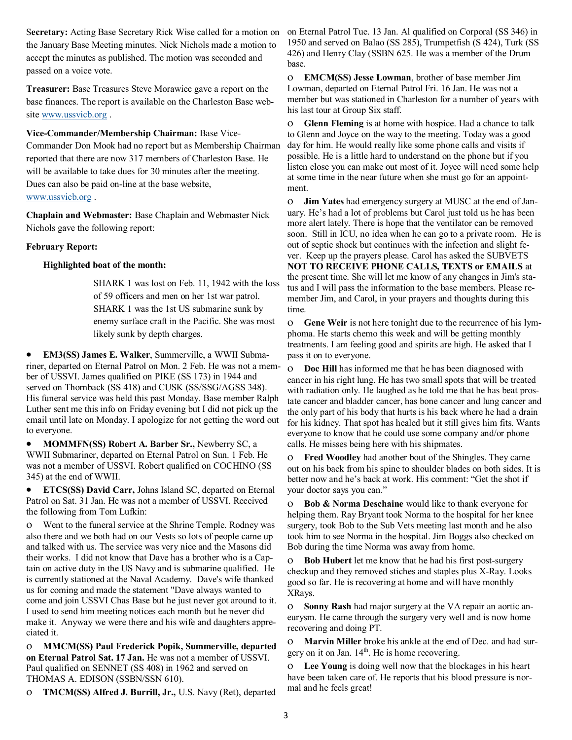the January Base Meeting minutes. Nick Nichols made a motion to accept the minutes as published. The motion was seconded and passed on a voice vote.

**Treasurer:** Base Treasures Steve Morawiec gave a report on the base finances. The report is available on the Charleston Base website [www.ussvicb.org](http://www.ussvicb.org) .

**Vice-Commander/Membership Chairman:** Base Vice-Commander Don Mook had no report but as Membership Chairman reported that there are now 317 members of Charleston Base. He will be available to take dues for 30 minutes after the meeting. Dues can also be paid on-line at the base website, [www.ussvicb.org](http://www.ussvicb.org) .

**Chaplain and Webmaster:** Base Chaplain and Webmaster Nick Nichols gave the following report:

#### **February Report:**

#### **Highlighted boat of the month:**

SHARK 1 was lost on Feb. 11, 1942 with the loss of 59 officers and men on her 1st war patrol. SHARK 1 was the 1st US submarine sunk by enemy surface craft in the Pacific. She was most likely sunk by depth charges.

 **EM3(SS) James E. Walker**, Summerville, a WWII Submariner, departed on Eternal Patrol on Mon. 2 Feb. He was not a member of USSVI. James qualified on PIKE (SS 173) in 1944 and served on Thornback (SS 418) and CUSK (SS/SSG/AGSS 348). His funeral service was held this past Monday. Base member Ralph Luther sent me this info on Friday evening but I did not pick up the email until late on Monday. I apologize for not getting the word out to everyone.

 **MOMMFN(SS) Robert A. Barber Sr.,** Newberry SC, a WWII Submariner, departed on Eternal Patrol on Sun. 1 Feb. He was not a member of USSVI. Robert qualified on COCHINO (SS 345) at the end of WWII.

 **ETCS(SS) David Carr,** Johns Island SC, departed on Eternal Patrol on Sat. 31 Jan. He was not a member of USSVI. Received the following from Tom Lufkin:

 Went to the funeral service at the Shrine Temple. Rodney was also there and we both had on our Vests so lots of people came up and talked with us. The service was very nice and the Masons did their works. I did not know that Dave has a brother who is a Captain on active duty in the US Navy and is submarine qualified. He is currently stationed at the Naval Academy. Dave's wife thanked us for coming and made the statement "Dave always wanted to come and join USSVI Chas Base but he just never got around to it. I used to send him meeting notices each month but he never did make it. Anyway we were there and his wife and daughters appreciated it.

 **MMCM(SS) Paul Frederick Popik, Summerville, departed on Eternal Patrol Sat. 17 Jan.** He was not a member of USSVI. Paul qualified on SENNET (SS 408) in 1962 and served on THOMAS A. EDISON (SSBN/SSN 610).

**TMCM(SS) Alfred J. Burrill, Jr.,** U.S. Navy (Ret), departed

Secretary: Acting Base Secretary Rick Wise called for a motion on on Eternal Patrol Tue. 13 Jan. Al qualified on Corporal (SS 346) in 1950 and served on Balao (SS 285), Trumpetfish (S 424), Turk (SS 426) and Henry Clay (SSBN 625. He was a member of the Drum base.

> **EMCM(SS) Jesse Lowman**, brother of base member Jim Lowman, departed on Eternal Patrol Fri. 16 Jan. He was not a member but was stationed in Charleston for a number of years with his last tour at Group Six staff.

> **Glenn Fleming** is at home with hospice. Had a chance to talk to Glenn and Joyce on the way to the meeting. Today was a good day for him. He would really like some phone calls and visits if possible. He is a little hard to understand on the phone but if you listen close you can make out most of it. Joyce will need some help at some time in the near future when she must go for an appointment.

> **Jim Yates** had emergency surgery at MUSC at the end of January. He's had a lot of problems but Carol just told us he has been more alert lately. There is hope that the ventilator can be removed soon. Still in ICU, no idea when he can go to a private room. He is out of septic shock but continues with the infection and slight fever. Keep up the prayers please. Carol has asked the SUBVETS **NOT TO RECEIVE PHONE CALLS, TEXTS or EMAILS** at the present time. She will let me know of any changes in Jim's status and I will pass the information to the base members. Please remember Jim, and Carol, in your prayers and thoughts during this time.

> **Gene Weir** is not here tonight due to the recurrence of his lymphoma. He starts chemo this week and will be getting monthly treatments. I am feeling good and spirits are high. He asked that I pass it on to everyone.

> **Doc Hill** has informed me that he has been diagnosed with cancer in his right lung. He has two small spots that will be treated with radiation only. He laughed as he told me that he has beat prostate cancer and bladder cancer, has bone cancer and lung cancer and the only part of his body that hurts is his back where he had a drain for his kidney. That spot has healed but it still gives him fits. Wants everyone to know that he could use some company and/or phone calls. He misses being here with his shipmates.

> **Fred Woodley** had another bout of the Shingles. They came out on his back from his spine to shoulder blades on both sides. It is better now and he's back at work. His comment: "Get the shot if your doctor says you can."

 **Bob & Norma Deschaine** would like to thank everyone for helping them. Ray Bryant took Norma to the hospital for her knee surgery, took Bob to the Sub Vets meeting last month and he also took him to see Norma in the hospital. Jim Boggs also checked on Bob during the time Norma was away from home.

 **Bob Hubert** let me know that he had his first post-surgery checkup and they removed stiches and staples plus X-Ray. Looks good so far. He is recovering at home and will have monthly XRays.

 **Sonny Rash** had major surgery at the VA repair an aortic aneurysm. He came through the surgery very well and is now home recovering and doing PT.

 **Marvin Miller** broke his ankle at the end of Dec. and had surgery on it on Jan.  $14<sup>th</sup>$ . He is home recovering.

 **Lee Young** is doing well now that the blockages in his heart have been taken care of. He reports that his blood pressure is normal and he feels great!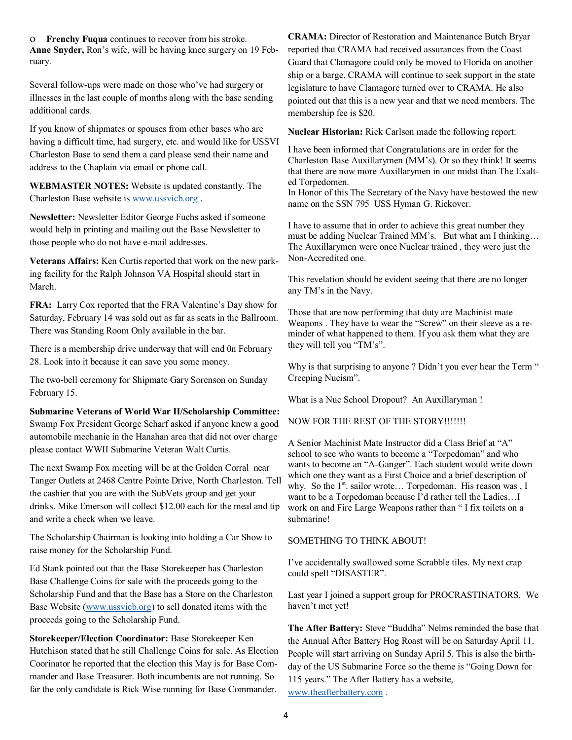**Frenchy Fuqua** continues to recover from his stroke. **Anne Snyder,** Ron's wife, will be having knee surgery on 19 February.

Several follow-ups were made on those who've had surgery or illnesses in the last couple of months along with the base sending additional cards.

If you know of shipmates or spouses from other bases who are having a difficult time, had surgery, etc. and would like for USSVI Charleston Base to send them a card please send their name and address to the Chaplain via email or phone call.

**WEBMASTER NOTES:** Website is updated constantly. The Charleston Base website is [www.ussvicb.org](http://www.ussvicb.org) .

**Newsletter:** Newsletter Editor George Fuchs asked if someone would help in printing and mailing out the Base Newsletter to those people who do not have e-mail addresses.

**Veterans Affairs:** Ken Curtis reported that work on the new parking facility for the Ralph Johnson VA Hospital should start in March.

**FRA:** Larry Cox reported that the FRA Valentine's Day show for Saturday, February 14 was sold out as far as seats in the Ballroom. There was Standing Room Only available in the bar.

There is a membership drive underway that will end 0n February 28. Look into it because it can save you some money.

The two-bell ceremony for Shipmate Gary Sorenson on Sunday February 15.

**Submarine Veterans of World War II/Scholarship Committee:**  Swamp Fox President George Scharf asked if anyone knew a good automobile mechanic in the Hanahan area that did not over charge please contact WWII Submarine Veteran Walt Curtis.

The next Swamp Fox meeting will be at the Golden Corral near Tanger Outlets at 2468 Centre Pointe Drive, North Charleston. Tell the cashier that you are with the SubVets group and get your drinks. Mike Emerson will collect \$12.00 each for the meal and tip and write a check when we leave.

The Scholarship Chairman is looking into holding a Car Show to raise money for the Scholarship Fund.

Ed Stank pointed out that the Base Storekeeper has Charleston Base Challenge Coins for sale with the proceeds going to the Scholarship Fund and that the Base has a Store on the Charleston Base Website [\(www.ussvicb.org\)](http://www.ussvicb.org) to sell donated items with the proceeds going to the Scholarship Fund.

**Storekeeper/Election Coordinator:** Base Storekeeper Ken Hutchison stated that he still Challenge Coins for sale. As Election Coorinator he reported that the election this May is for Base Commander and Base Treasurer. Both incumbents are not running. So far the only candidate is Rick Wise running for Base Commander.

**CRAMA:** Director of Restoration and Maintenance Butch Bryar reported that CRAMA had received assurances from the Coast Guard that Clamagore could only be moved to Florida on another ship or a barge. CRAMA will continue to seek support in the state legislature to have Clamagore turned over to CRAMA. He also pointed out that this is a new year and that we need members. The membership fee is \$20.

**Nuclear Historian:** Rick Carlson made the following report:

I have been informed that Congratulations are in order for the Charleston Base Auxillarymen (MM's). Or so they think! It seems that there are now more Auxillarymen in our midst than The Exalted Torpedomen.

In Honor of this The Secretary of the Navy have bestowed the new name on the SSN 795 USS Hyman G. Rickover.

I have to assume that in order to achieve this great number they must be adding Nuclear Trained MM's. But what am I thinking… The Auxillarymen were once Nuclear trained , they were just the Non-Accredited one.

This revelation should be evident seeing that there are no longer any TM's in the Navy.

Those that are now performing that duty are Machinist mate Weapons . They have to wear the "Screw" on their sleeve as a reminder of what happened to them. If you ask them what they are they will tell you "TM's".

Why is that surprising to anyone ? Didn't you ever hear the Term " Creeping Nucism".

What is a Nuc School Dropout? An Auxillaryman !

NOW FOR THE REST OF THE STORY!!!!!!!

A Senior Machinist Mate Instructor did a Class Brief at "A" school to see who wants to become a "Torpedoman" and who wants to become an "A-Ganger". Each student would write down which one they want as a First Choice and a brief description of why. So the  $1<sup>st</sup>$  sailor wrote... Torpedoman. His reason was , I want to be a Torpedoman because I'd rather tell the Ladies…I work on and Fire Large Weapons rather than "I fix toilets on a submarine!

SOMETHING TO THINK ABOUT!

I've accidentally swallowed some Scrabble tiles. My next crap could spell "DISASTER".

Last year I joined a support group for PROCRASTINATORS. We haven't met yet!

**The After Battery:** Steve "Buddha" Nelms reminded the base that the Annual After Battery Hog Roast will be on Saturday April 11. People will start arriving on Sunday April 5. This is also the birthday of the US Submarine Force so the theme is "Going Down for 115 years." The After Battery has a website, [www.theafterbattery.com](http://www.theafterbattery.com) .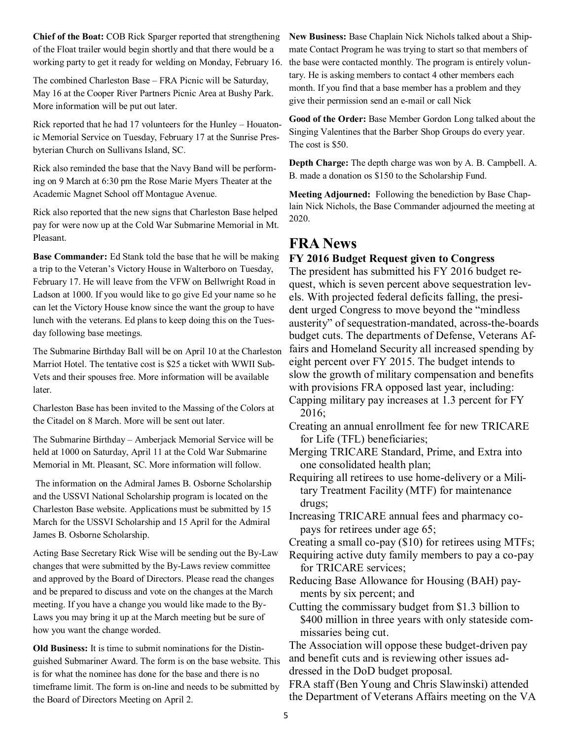**Chief of the Boat:** COB Rick Sparger reported that strengthening of the Float trailer would begin shortly and that there would be a working party to get it ready for welding on Monday, February 16.

The combined Charleston Base – FRA Picnic will be Saturday, May 16 at the Cooper River Partners Picnic Area at Bushy Park. More information will be put out later.

Rick reported that he had 17 volunteers for the Hunley – Houatonic Memorial Service on Tuesday, February 17 at the Sunrise Presbyterian Church on Sullivans Island, SC.

Rick also reminded the base that the Navy Band will be performing on 9 March at 6:30 pm the Rose Marie Myers Theater at the Academic Magnet School off Montague Avenue.

Rick also reported that the new signs that Charleston Base helped pay for were now up at the Cold War Submarine Memorial in Mt. Pleasant.

**Base Commander:** Ed Stank told the base that he will be making a trip to the Veteran's Victory House in Walterboro on Tuesday, February 17. He will leave from the VFW on Bellwright Road in Ladson at 1000. If you would like to go give Ed your name so he can let the Victory House know since the want the group to have lunch with the veterans. Ed plans to keep doing this on the Tuesday following base meetings.

The Submarine Birthday Ball will be on April 10 at the Charleston Marriot Hotel. The tentative cost is \$25 a ticket with WWII Sub-Vets and their spouses free. More information will be available later.

Charleston Base has been invited to the Massing of the Colors at the Citadel on 8 March. More will be sent out later.

The Submarine Birthday – Amberjack Memorial Service will be held at 1000 on Saturday, April 11 at the Cold War Submarine Memorial in Mt. Pleasant, SC. More information will follow.

The information on the Admiral James B. Osborne Scholarship and the USSVI National Scholarship program is located on the Charleston Base website. Applications must be submitted by 15 March for the USSVI Scholarship and 15 April for the Admiral James B. Osborne Scholarship.

Acting Base Secretary Rick Wise will be sending out the By-Law changes that were submitted by the By-Laws review committee and approved by the Board of Directors. Please read the changes and be prepared to discuss and vote on the changes at the March meeting. If you have a change you would like made to the By-Laws you may bring it up at the March meeting but be sure of how you want the change worded.

**Old Business:** It is time to submit nominations for the Distinguished Submariner Award. The form is on the base website. This is for what the nominee has done for the base and there is no timeframe limit. The form is on-line and needs to be submitted by the Board of Directors Meeting on April 2.

**New Business:** Base Chaplain Nick Nichols talked about a Shipmate Contact Program he was trying to start so that members of the base were contacted monthly. The program is entirely voluntary. He is asking members to contact 4 other members each month. If you find that a base member has a problem and they give their permission send an e-mail or call Nick

**Good of the Order:** Base Member Gordon Long talked about the Singing Valentines that the Barber Shop Groups do every year. The cost is \$50.

**Depth Charge:** The depth charge was won by A. B. Campbell. A. B. made a donation os \$150 to the Scholarship Fund.

**Meeting Adjourned:** Following the benediction by Base Chaplain Nick Nichols, the Base Commander adjourned the meeting at 2020.

## **FRA News**

#### **FY 2016 Budget Request given to Congress**

The president has submitted his FY 2016 budget request, which is seven percent above sequestration levels. With projected federal deficits falling, the president urged Congress to move beyond the "mindless" austerity" of sequestration-mandated, across-the-boards budget cuts. The departments of Defense, Veterans Affairs and Homeland Security all increased spending by eight percent over FY 2015. The budget intends to slow the growth of military compensation and benefits with provisions FRA opposed last year, including:

- Capping military pay increases at 1.3 percent for FY 2016;
- Creating an annual enrollment fee for new TRICARE for Life (TFL) beneficiaries;
- Merging TRICARE Standard, Prime, and Extra into one consolidated health plan;
- Requiring all retirees to use home-delivery or a Military Treatment Facility (MTF) for maintenance drugs;
- Increasing TRICARE annual fees and pharmacy copays for retirees under age 65;

Creating a small co-pay (\$10) for retirees using MTFs;

Requiring active duty family members to pay a co-pay for TRICARE services;

Reducing Base Allowance for Housing (BAH) payments by six percent; and

Cutting the commissary budget from \$1.3 billion to \$400 million in three years with only stateside commissaries being cut.

The Association will oppose these budget-driven pay and benefit cuts and is reviewing other issues addressed in the DoD budget proposal.

FRA staff (Ben Young and Chris Slawinski) attended the Department of Veterans Affairs meeting on the VA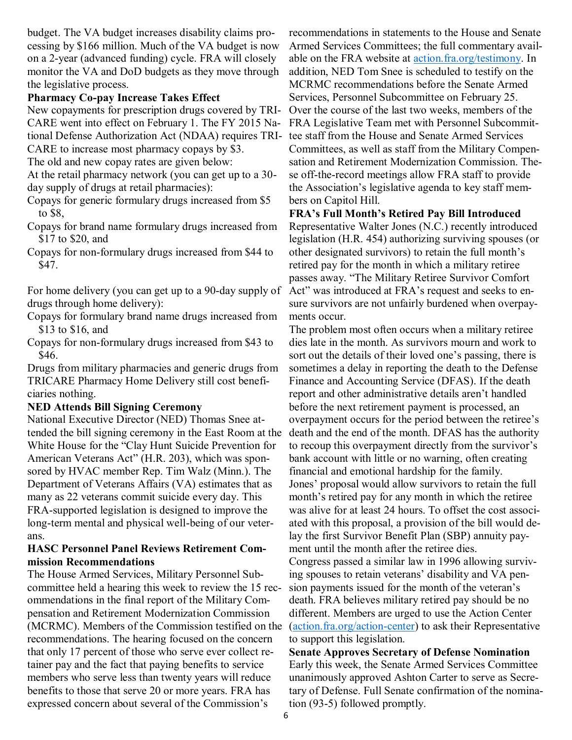budget. The VA budget increases disability claims processing by \$166 million. Much of the VA budget is now on a 2-year (advanced funding) cycle. FRA will closely monitor the VA and DoD budgets as they move through the legislative process.

#### **Pharmacy Co-pay Increase Takes Effect**

New copayments for prescription drugs covered by TRI-CARE went into effect on February 1. The FY 2015 National Defense Authorization Act (NDAA) requires TRI-CARE to increase most pharmacy copays by \$3.

The old and new copay rates are given below:

At the retail pharmacy network (you can get up to a 30 day supply of drugs at retail pharmacies):

Copays for generic formulary drugs increased from \$5 to \$8,

Copays for brand name formulary drugs increased from \$17 to \$20, and

Copays for non-formulary drugs increased from \$44 to \$47.

For home delivery (you can get up to a 90-day supply of drugs through home delivery):

Copays for formulary brand name drugs increased from \$13 to \$16, and

Copays for non-formulary drugs increased from \$43 to \$46.

Drugs from military pharmacies and generic drugs from TRICARE Pharmacy Home Delivery still cost beneficiaries nothing.

#### **NED Attends Bill Signing Ceremony**

National Executive Director (NED) Thomas Snee attended the bill signing ceremony in the East Room at the White House for the "Clay Hunt Suicide Prevention for American Veterans Act" (H.R. 203), which was sponsored by HVAC member Rep. Tim Walz (Minn.). The Department of Veterans Affairs (VA) estimates that as many as 22 veterans commit suicide every day. This FRA-supported legislation is designed to improve the long-term mental and physical well-being of our veterans.

#### **HASC Personnel Panel Reviews Retirement Commission Recommendations**

The House Armed Services, Military Personnel Subcommittee held a hearing this week to review the 15 recommendations in the final report of the Military Compensation and Retirement Modernization Commission (MCRMC). Members of the Commission testified on the recommendations. The hearing focused on the concern that only 17 percent of those who serve ever collect retainer pay and the fact that paying benefits to service members who serve less than twenty years will reduce benefits to those that serve 20 or more years. FRA has expressed concern about several of the Commission's

recommendations in statements to the House and Senate Armed Services Committees; the full commentary available on the FRA website at [action.fra.org/testimony.](http://cqrcengage.com/fra/app/thru?ep=AAAAC2Flc0NpcGhlcjAxADGaZ-xh76nItrmJ0fSAwdJls1Kuh7fX-Kp9OXS4BBKRVfrnM5vErkgTD52FVIlBfUFPAmY5XWkU8p27K6PRJvrAYZyDRnfCWtIRzTn9DuSkghdd2DGCwt_UhO448FcvmDil_eHMPf2FNk6VCJ3F0A&lp=0) In addition, NED Tom Snee is scheduled to testify on the MCRMC recommendations before the Senate Armed Services, Personnel Subcommittee on February 25. Over the course of the last two weeks, members of the FRA Legislative Team met with Personnel Subcommittee staff from the House and Senate Armed Services Committees, as well as staff from the Military Compensation and Retirement Modernization Commission. These off-the-record meetings allow FRA staff to provide the Association's legislative agenda to key staff members on Capitol Hill.

**FRA's Full Month's Retired Pay Bill Introduced**

Representative Walter Jones (N.C.) recently introduced legislation (H.R. 454) authorizing surviving spouses (or other designated survivors) to retain the full month's retired pay for the month in which a military retiree passes away. "The Military Retiree Survivor Comfort Act" was introduced at FRA's request and seeks to ensure survivors are not unfairly burdened when overpayments occur.

The problem most often occurs when a military retiree dies late in the month. As survivors mourn and work to sort out the details of their loved one's passing, there is sometimes a delay in reporting the death to the Defense Finance and Accounting Service (DFAS). If the death report and other administrative details aren't handled before the next retirement payment is processed, an overpayment occurs for the period between the retiree's death and the end of the month. DFAS has the authority to recoup this overpayment directly from the survivor's bank account with little or no warning, often creating financial and emotional hardship for the family. Jones' proposal would allow survivors to retain the full month's retired pay for any month in which the retiree was alive for at least 24 hours. To offset the cost associated with this proposal, a provision of the bill would delay the first Survivor Benefit Plan (SBP) annuity payment until the month after the retiree dies.

Congress passed a similar law in 1996 allowing surviving spouses to retain veterans' disability and VA pension payments issued for the month of the veteran's death. FRA believes military retired pay should be no different. Members are urged to use the Action Center ([action.fra.org/action](http://cqrcengage.com/fra/app/thru?ep=AAAAC2Flc0NpcGhlcjAxG0u3Ey8SEBwZMPnhLFn1pgSvMK7ZZQzBll8_XnewclhdAK1XZoUYIr6Rm6TZkxuqKXfY8TbUlSkpctSEqkbVkUgkcTqBERJ43MFRhZLAjDifQSqG9XIbBwPLGXXPYhXEJkkmX6-bhNiam2JE9KNBXA&lp=0)-center) to ask their Representative to support this legislation.

**Senate Approves Secretary of Defense Nomination** Early this week, the Senate Armed Services Committee unanimously approved Ashton Carter to serve as Secretary of Defense. Full Senate confirmation of the nomination (93-5) followed promptly.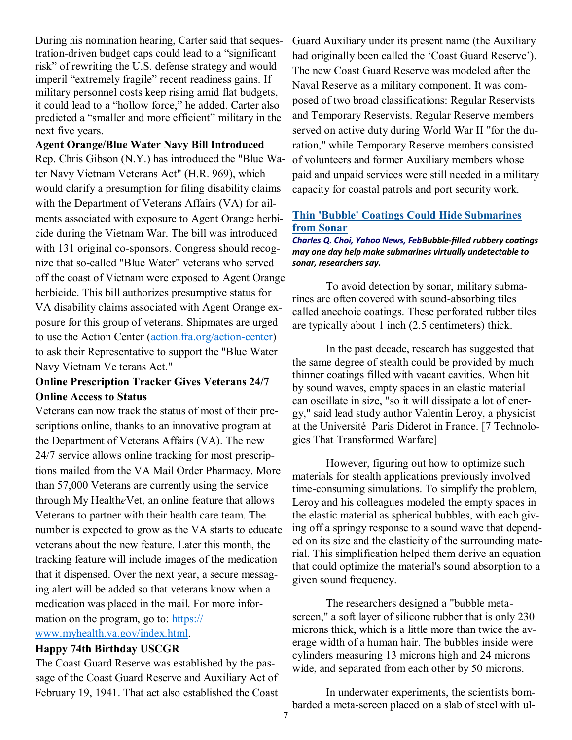During his nomination hearing, Carter said that sequestration-driven budget caps could lead to a "significant" risk" of rewriting the U.S. defense strategy and would imperil "extremely fragile" recent readiness gains. If military personnel costs keep rising amid flat budgets, it could lead to a "hollow force," he added. Carter also predicted a "smaller and more efficient" military in the next five years.

### **Agent Orange/Blue Water Navy Bill Introduced**

Rep. Chris Gibson (N.Y.) has introduced the "Blue Water Navy Vietnam Veterans Act" (H.R. 969), which would clarify a presumption for filing disability claims with the Department of Veterans Affairs (VA) for ailments associated with exposure to Agent Orange herbicide during the Vietnam War. The bill was introduced with 131 original co-sponsors. Congress should recognize that so-called "Blue Water" veterans who served off the coast of Vietnam were exposed to Agent Orange herbicide. This bill authorizes presumptive status for VA disability claims associated with Agent Orange exposure for this group of veterans. Shipmates are urged to use the Action Center ([action.fra.org/action](http://cqrcengage.com/fra/app/thru?ep=AAAAC2Flc0NpcGhlcjAxjpTjfGgd5rX89hd9DeMvQOIvzcYd9uWNxLDpH7IqOvQT4X5Bf45plJ4fEe98xUogrtpa7haLA26ej3OTCQWR7pI3oLqODeRHmZo6g7LWjMuxAsjQ7lCUYTQsbZB5H8tC_jo49NcjF6Mz03Oyw4ePOw&lp=0)-center) to ask their Representative to support the "Blue Water Navy Vietnam Ve terans Act."

### **Online Prescription Tracker Gives Veterans 24/7 Online Access to Status**

Veterans can now track the status of most of their prescriptions online, thanks to an innovative program at the Department of Veterans Affairs (VA). The new 24/7 service allows online tracking for most prescriptions mailed from the VA Mail Order Pharmacy. More than 57,000 Veterans are currently using the service through My Health*e*Vet, an online feature that allows Veterans to partner with their health care team. The number is expected to grow as the VA starts to educate veterans about the new feature. Later this month, the tracking feature will include images of the medication that it dispensed. Over the next year, a secure messaging alert will be added so that veterans know when a medication was placed in the mail. For more information on the program, go to: [https://](http://cqrcengage.com/fra/app/thru?ep=AAAAC2Flc0NpcGhlcjAxc5fJM_s0Q4dIgCdq5fSOisSIDvx5WFtP-xEH6WCZSf8a6u2OinKT7F_gP969OpKnaX2xdeym_BlZb6BvtepHYwhncsXnTr-gnMbI_ez4gatgsY_P-7X3nN6BkZylDoDnS1wRMXyqDoNCEM-C-BWi4O7NgxYs7S30EDKYQxmKGOY&lp=0) [www.myhealth.va.gov/index.html.](http://cqrcengage.com/fra/app/thru?ep=AAAAC2Flc0NpcGhlcjAxc5fJM_s0Q4dIgCdq5fSOisSIDvx5WFtP-xEH6WCZSf8a6u2OinKT7F_gP969OpKnaX2xdeym_BlZb6BvtepHYwhncsXnTr-gnMbI_ez4gatgsY_P-7X3nN6BkZylDoDnS1wRMXyqDoNCEM-C-BWi4O7NgxYs7S30EDKYQxmKGOY&lp=0)

#### **Happy 74th Birthday USCGR**

The Coast Guard Reserve was established by the passage of the Coast Guard Reserve and Auxiliary Act of February 19, 1941. That act also established the Coast

Guard Auxiliary under its present name (the Auxiliary had originally been called the 'Coast Guard Reserve'). The new Coast Guard Reserve was modeled after the Naval Reserve as a military component. It was composed of two broad classifications: Regular Reservists and Temporary Reservists. Regular Reserve members served on active duty during World War II "for the duration," while Temporary Reserve members consisted of volunteers and former Auxiliary members whose paid and unpaid services were still needed in a military capacity for coastal patrols and port security work.

#### **Thin 'Bubble' Coatings Could Hide Submarines from Sonar**

*Charles Q. Choi, Yahoo News, FebBubble-filled rubbery coatings may one day help make submarines virtually undetectable to sonar, researchers say.*

To avoid detection by sonar, military submarines are often covered with sound-absorbing tiles called anechoic coatings. These perforated rubber tiles are typically about 1 inch (2.5 centimeters) thick.

In the past decade, research has suggested that the same degree of stealth could be provided by much thinner coatings filled with vacant cavities. When hit by sound waves, empty spaces in an elastic material can oscillate in size, "so it will dissipate a lot of energy," said lead study author Valentin Leroy, a physicist at the Université Paris Diderot in France. [7 Technologies That Transformed Warfare]

However, figuring out how to optimize such materials for stealth applications previously involved time-consuming simulations. To simplify the problem, Leroy and his colleagues modeled the empty spaces in the elastic material as spherical bubbles, with each giving off a springy response to a sound wave that depended on its size and the elasticity of the surrounding material. This simplification helped them derive an equation that could optimize the material's sound absorption to a given sound frequency.

The researchers designed a "bubble metascreen," a soft layer of silicone rubber that is only 230 microns thick, which is a little more than twice the average width of a human hair. The bubbles inside were cylinders measuring 13 microns high and 24 microns wide, and separated from each other by 50 microns.

In underwater experiments, the scientists bombarded a meta-screen placed on a slab of steel with ul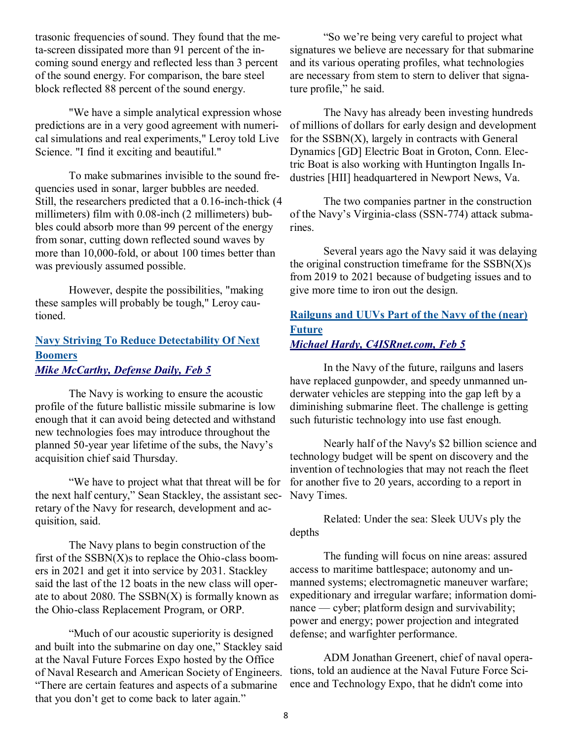trasonic frequencies of sound. They found that the meta-screen dissipated more than 91 percent of the incoming sound energy and reflected less than 3 percent of the sound energy. For comparison, the bare steel block reflected 88 percent of the sound energy.

"We have a simple analytical expression whose predictions are in a very good agreement with numerical simulations and real experiments," Leroy told Live Science. "I find it exciting and beautiful."

To make submarines invisible to the sound frequencies used in sonar, larger bubbles are needed. Still, the researchers predicted that a 0.16-inch-thick (4 millimeters) film with 0.08-inch (2 millimeters) bubbles could absorb more than 99 percent of the energy from sonar, cutting down reflected sound waves by more than 10,000-fold, or about 100 times better than was previously assumed possible.

However, despite the possibilities, "making these samples will probably be tough," Leroy cautioned.

### **Navy Striving To Reduce Detectability Of Next Boomers** *Mike McCarthy, Defense Daily, Feb 5*

The Navy is working to ensure the acoustic profile of the future ballistic missile submarine is low enough that it can avoid being detected and withstand new technologies foes may introduce throughout the planned 50-year year lifetime of the subs, the Navy's acquisition chief said Thursday.

―We have to project what that threat will be for the next half century," Sean Stackley, the assistant secretary of the Navy for research, development and acquisition, said.

The Navy plans to begin construction of the first of the  $SSBN(X)$ s to replace the Ohio-class boomers in 2021 and get it into service by 2031. Stackley said the last of the 12 boats in the new class will operate to about 2080. The  $SSBN(X)$  is formally known as the Ohio-class Replacement Program, or ORP.

―Much of our acoustic superiority is designed and built into the submarine on day one," Stackley said at the Naval Future Forces Expo hosted by the Office of Naval Research and American Society of Engineers. ―There are certain features and aspects of a submarine that you don't get to come back to later again."

―So we're being very careful to project what signatures we believe are necessary for that submarine and its various operating profiles, what technologies are necessary from stem to stern to deliver that signature profile," he said.

The Navy has already been investing hundreds of millions of dollars for early design and development for the  $SSBN(X)$ , largely in contracts with General Dynamics [GD] Electric Boat in Groton, Conn. Electric Boat is also working with Huntington Ingalls Industries [HII] headquartered in Newport News, Va.

The two companies partner in the construction of the Navy's Virginia-class (SSN-774) attack submarines.

Several years ago the Navy said it was delaying the original construction timeframe for the  $SSBN(X)s$ from 2019 to 2021 because of budgeting issues and to give more time to iron out the design.

### **Railguns and UUVs Part of the Navy of the (near) Future**  *Michael Hardy, C4ISRnet.com, Feb 5*

In the Navy of the future, railguns and lasers have replaced gunpowder, and speedy unmanned underwater vehicles are stepping into the gap left by a diminishing submarine fleet. The challenge is getting such futuristic technology into use fast enough.

Nearly half of the Navy's \$2 billion science and technology budget will be spent on discovery and the invention of technologies that may not reach the fleet for another five to 20 years, according to a report in Navy Times.

Related: Under the sea: Sleek UUVs ply the depths

The funding will focus on nine areas: assured access to maritime battlespace; autonomy and unmanned systems; electromagnetic maneuver warfare; expeditionary and irregular warfare; information dominance — cyber; platform design and survivability; power and energy; power projection and integrated defense; and warfighter performance.

ADM Jonathan Greenert, chief of naval operations, told an audience at the Naval Future Force Science and Technology Expo, that he didn't come into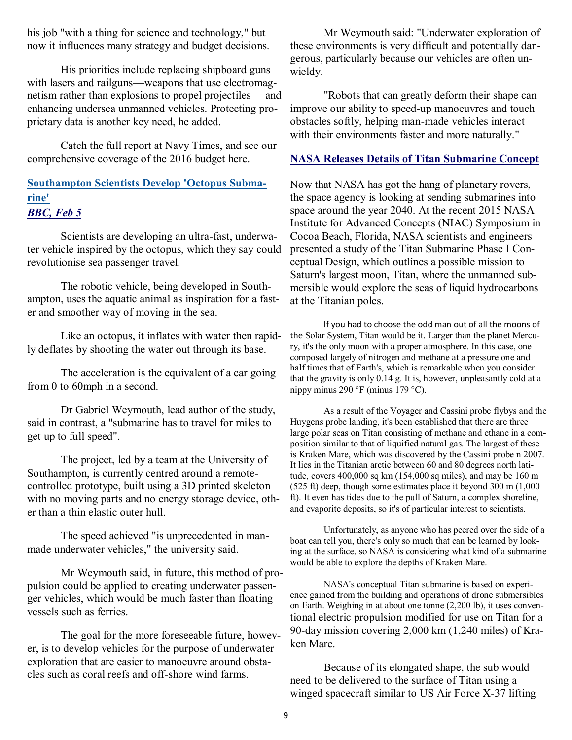his job "with a thing for science and technology," but now it influences many strategy and budget decisions.

His priorities include replacing shipboard guns with lasers and railguns—weapons that use electromagnetism rather than explosions to propel projectiles— and enhancing undersea unmanned vehicles. Protecting proprietary data is another key need, he added.

Catch the full report at Navy Times, and see our comprehensive coverage of the 2016 budget here.

### **Southampton Scientists Develop 'Octopus Submarine'** *BBC, Feb 5*

Scientists are developing an ultra-fast, underwater vehicle inspired by the octopus, which they say could revolutionise sea passenger travel.

The robotic vehicle, being developed in Southampton, uses the aquatic animal as inspiration for a faster and smoother way of moving in the sea.

Like an octopus, it inflates with water then rapidly deflates by shooting the water out through its base.

The acceleration is the equivalent of a car going from 0 to 60mph in a second.

Dr Gabriel Weymouth, lead author of the study, said in contrast, a "submarine has to travel for miles to get up to full speed".

The project, led by a team at the University of Southampton, is currently centred around a remotecontrolled prototype, built using a 3D printed skeleton with no moving parts and no energy storage device, other than a thin elastic outer hull.

The speed achieved "is unprecedented in manmade underwater vehicles," the university said.

Mr Weymouth said, in future, this method of propulsion could be applied to creating underwater passenger vehicles, which would be much faster than floating vessels such as ferries.

The goal for the more foreseeable future, however, is to develop vehicles for the purpose of underwater exploration that are easier to manoeuvre around obstacles such as coral reefs and off-shore wind farms.

Mr Weymouth said: "Underwater exploration of these environments is very difficult and potentially dangerous, particularly because our vehicles are often unwieldy.

"Robots that can greatly deform their shape can improve our ability to speed-up manoeuvres and touch obstacles softly, helping man-made vehicles interact with their environments faster and more naturally."

#### **NASA Releases Details of Titan Submarine Concept**

Now that NASA has got the hang of planetary rovers, the space agency is looking at sending submarines into space around the year 2040. At the recent 2015 NASA Institute for Advanced Concepts (NIAC) Symposium in Cocoa Beach, Florida, NASA scientists and engineers presented a study of the Titan Submarine Phase I Conceptual Design, which outlines a possible mission to Saturn's largest moon, Titan, where the unmanned submersible would explore the seas of liquid hydrocarbons at the Titanian poles.

If you had to choose the odd man out of all the moons of the Solar System, Titan would be it. Larger than the planet Mercury, it's the only moon with a proper atmosphere. In this case, one composed largely of nitrogen and methane at a pressure one and half times that of Earth's, which is remarkable when you consider that the gravity is only 0.14 g. It is, however, unpleasantly cold at a nippy minus 290 °F (minus 179 °C).

As a result of the Voyager and Cassini probe flybys and the Huygens probe landing, it's been established that there are three large polar seas on Titan consisting of methane and ethane in a composition similar to that of liquified natural gas. The largest of these is Kraken Mare, which was discovered by the Cassini probe n 2007. It lies in the Titanian arctic between 60 and 80 degrees north latitude, covers 400,000 sq km (154,000 sq miles), and may be 160 m (525 ft) deep, though some estimates place it beyond 300 m (1,000 ft). It even has tides due to the pull of Saturn, a complex shoreline, and evaporite deposits, so it's of particular interest to scientists.

Unfortunately, as anyone who has peered over the side of a boat can tell you, there's only so much that can be learned by looking at the surface, so NASA is considering what kind of a submarine would be able to explore the depths of Kraken Mare.

NASA's conceptual Titan submarine is based on experience gained from the building and operations of drone submersibles on Earth. Weighing in at about one tonne (2,200 lb), it uses conventional electric propulsion modified for use on Titan for a 90-day mission covering 2,000 km (1,240 miles) of Kraken Mare.

Because of its elongated shape, the sub would need to be delivered to the surface of Titan using a winged spacecraft similar to US Air Force X-37 lifting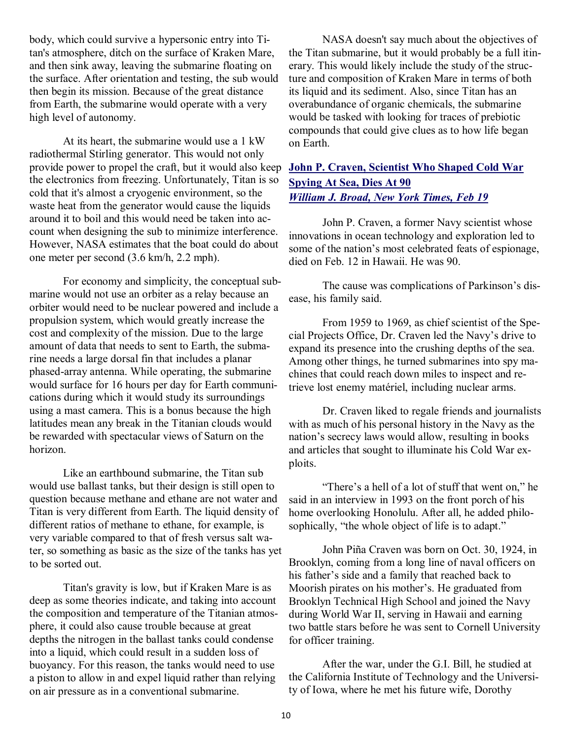body, which could survive a hypersonic entry into Titan's atmosphere, ditch on the surface of Kraken Mare, and then sink away, leaving the submarine floating on the surface. After orientation and testing, the sub would then begin its mission. Because of the great distance from Earth, the submarine would operate with a very high level of autonomy.

At its heart, the submarine would use a 1 kW radiothermal Stirling generator. This would not only provide power to propel the craft, but it would also keep the electronics from freezing. Unfortunately, Titan is so cold that it's almost a cryogenic environment, so the waste heat from the generator would cause the liquids around it to boil and this would need be taken into account when designing the sub to minimize interference. However, NASA estimates that the boat could do about one meter per second (3.6 km/h, 2.2 mph).

For economy and simplicity, the conceptual submarine would not use an orbiter as a relay because an orbiter would need to be nuclear powered and include a propulsion system, which would greatly increase the cost and complexity of the mission. Due to the large amount of data that needs to sent to Earth, the submarine needs a large dorsal fin that includes a planar phased-array antenna. While operating, the submarine would surface for 16 hours per day for Earth communications during which it would study its surroundings using a mast camera. This is a bonus because the high latitudes mean any break in the Titanian clouds would be rewarded with spectacular views of Saturn on the horizon.

Like an earthbound submarine, the Titan sub would use ballast tanks, but their design is still open to question because methane and ethane are not water and Titan is very different from Earth. The liquid density of different ratios of methane to ethane, for example, is very variable compared to that of fresh versus salt water, so something as basic as the size of the tanks has yet to be sorted out.

Titan's gravity is low, but if Kraken Mare is as deep as some theories indicate, and taking into account the composition and temperature of the Titanian atmosphere, it could also cause trouble because at great depths the nitrogen in the ballast tanks could condense into a liquid, which could result in a sudden loss of buoyancy. For this reason, the tanks would need to use a piston to allow in and expel liquid rather than relying on air pressure as in a conventional submarine.

NASA doesn't say much about the objectives of the Titan submarine, but it would probably be a full itinerary. This would likely include the study of the structure and composition of Kraken Mare in terms of both its liquid and its sediment. Also, since Titan has an overabundance of organic chemicals, the submarine would be tasked with looking for traces of prebiotic compounds that could give clues as to how life began on Earth.

## **John P. Craven, Scientist Who Shaped Cold War Spying At Sea, Dies At 90** *William J. Broad, New York Times, Feb 19*

John P. Craven, a former Navy scientist whose innovations in ocean technology and exploration led to some of the nation's most celebrated feats of espionage, died on Feb. 12 in Hawaii. He was 90.

The cause was complications of Parkinson's disease, his family said.

From 1959 to 1969, as chief scientist of the Special Projects Office, Dr. Craven led the Navy's drive to expand its presence into the crushing depths of the sea. Among other things, he turned submarines into spy machines that could reach down miles to inspect and retrieve lost enemy matériel, including nuclear arms.

Dr. Craven liked to regale friends and journalists with as much of his personal history in the Navy as the nation's secrecy laws would allow, resulting in books and articles that sought to illuminate his Cold War exploits.

"There's a hell of a lot of stuff that went on," he said in an interview in 1993 on the front porch of his home overlooking Honolulu. After all, he added philosophically, "the whole object of life is to adapt."

John Piña Craven was born on Oct. 30, 1924, in Brooklyn, coming from a long line of naval officers on his father's side and a family that reached back to Moorish pirates on his mother's. He graduated from Brooklyn Technical High School and joined the Navy during World War II, serving in Hawaii and earning two battle stars before he was sent to Cornell University for officer training.

After the war, under the G.I. Bill, he studied at the California Institute of Technology and the University of Iowa, where he met his future wife, Dorothy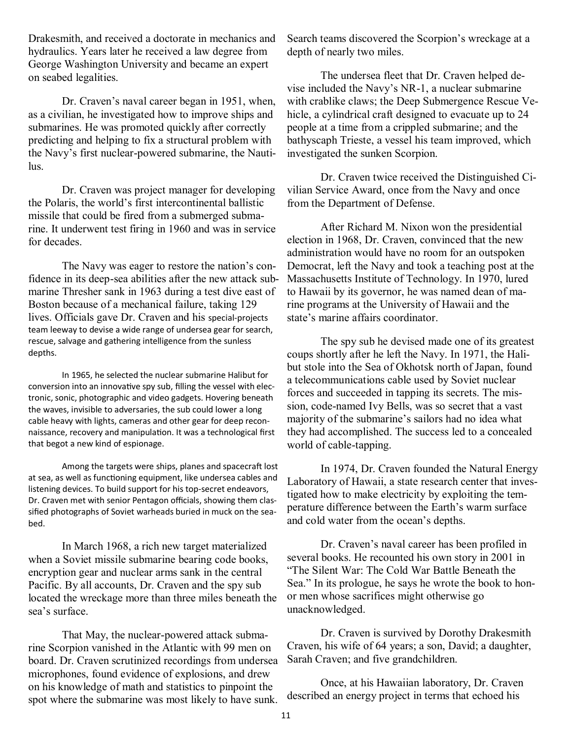Drakesmith, and received a doctorate in mechanics and hydraulics. Years later he received a law degree from George Washington University and became an expert on seabed legalities.

Dr. Craven's naval career began in 1951, when, as a civilian, he investigated how to improve ships and submarines. He was promoted quickly after correctly predicting and helping to fix a structural problem with the Navy's first nuclear-powered submarine, the Nautilus.

Dr. Craven was project manager for developing the Polaris, the world's first intercontinental ballistic missile that could be fired from a submerged submarine. It underwent test firing in 1960 and was in service for decades.

The Navy was eager to restore the nation's confidence in its deep-sea abilities after the new attack submarine Thresher sank in 1963 during a test dive east of Boston because of a mechanical failure, taking 129 lives. Officials gave Dr. Craven and his special-projects team leeway to devise a wide range of undersea gear for search, rescue, salvage and gathering intelligence from the sunless depths.

In 1965, he selected the nuclear submarine Halibut for conversion into an innovative spy sub, filling the vessel with electronic, sonic, photographic and video gadgets. Hovering beneath the waves, invisible to adversaries, the sub could lower a long cable heavy with lights, cameras and other gear for deep reconnaissance, recovery and manipulation. It was a technological first that begot a new kind of espionage.

Among the targets were ships, planes and spacecraft lost at sea, as well as functioning equipment, like undersea cables and listening devices. To build support for his top-secret endeavors, Dr. Craven met with senior Pentagon officials, showing them classified photographs of Soviet warheads buried in muck on the seabed.

In March 1968, a rich new target materialized when a Soviet missile submarine bearing code books, encryption gear and nuclear arms sank in the central Pacific. By all accounts, Dr. Craven and the spy sub located the wreckage more than three miles beneath the sea's surface.

That May, the nuclear-powered attack submarine Scorpion vanished in the Atlantic with 99 men on board. Dr. Craven scrutinized recordings from undersea microphones, found evidence of explosions, and drew on his knowledge of math and statistics to pinpoint the spot where the submarine was most likely to have sunk.

Search teams discovered the Scorpion's wreckage at a depth of nearly two miles.

The undersea fleet that Dr. Craven helped devise included the Navy's NR-1, a nuclear submarine with crablike claws; the Deep Submergence Rescue Vehicle, a cylindrical craft designed to evacuate up to 24 people at a time from a crippled submarine; and the bathyscaph Trieste, a vessel his team improved, which investigated the sunken Scorpion.

Dr. Craven twice received the Distinguished Civilian Service Award, once from the Navy and once from the Department of Defense.

After Richard M. Nixon won the presidential election in 1968, Dr. Craven, convinced that the new administration would have no room for an outspoken Democrat, left the Navy and took a teaching post at the Massachusetts Institute of Technology. In 1970, lured to Hawaii by its governor, he was named dean of marine programs at the University of Hawaii and the state's marine affairs coordinator.

The spy sub he devised made one of its greatest coups shortly after he left the Navy. In 1971, the Halibut stole into the Sea of Okhotsk north of Japan, found a telecommunications cable used by Soviet nuclear forces and succeeded in tapping its secrets. The mission, code-named Ivy Bells, was so secret that a vast majority of the submarine's sailors had no idea what they had accomplished. The success led to a concealed world of cable-tapping.

In 1974, Dr. Craven founded the Natural Energy Laboratory of Hawaii, a state research center that investigated how to make electricity by exploiting the temperature difference between the Earth's warm surface and cold water from the ocean's depths.

Dr. Craven's naval career has been profiled in several books. He recounted his own story in 2001 in ―The Silent War: The Cold War Battle Beneath the Sea." In its prologue, he says he wrote the book to honor men whose sacrifices might otherwise go unacknowledged.

Dr. Craven is survived by Dorothy Drakesmith Craven, his wife of 64 years; a son, David; a daughter, Sarah Craven; and five grandchildren.

Once, at his Hawaiian laboratory, Dr. Craven described an energy project in terms that echoed his